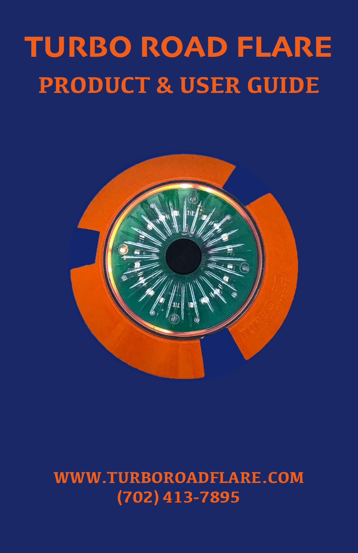# TURBO ROAD FLARE **PRODUCT & USER GUIDE**



#### **WWW.TURBOROADFLARE.COM (702) 413-7895**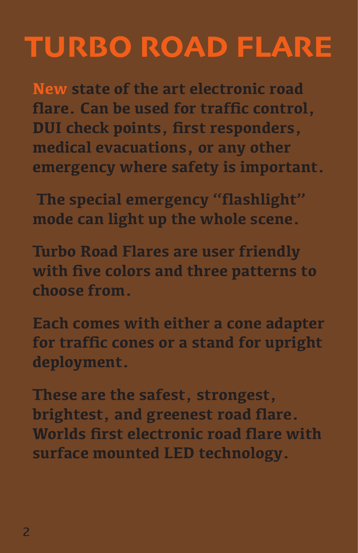# TURBO ROAD FLARE

**New state of the art electronic road flare. Can be used for traffic control, DUI check points, first responders, medical evacuations, or any other emergency where safety is important.**

 **The special emergency "flashlight" mode can light up the whole scene.**

**Turbo Road Flares are user friendly with five colors and three patterns to choose from.** 

**Each comes with either a cone adapter for traffic cones or a stand for upright deployment.**

**These are the safest, strongest, brightest, and greenest road flare. Worlds first electronic road flare with surface mounted LED technology.**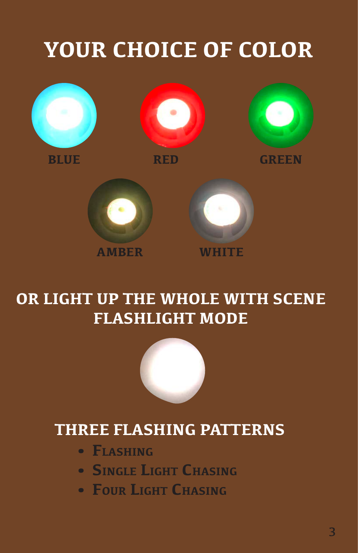## **YOUR CHOICE OF COLOR**











**OR LIGHT UP THE WHOLE WITH SCENE FLASHLIGHT MODE**

#### **THREE FLASHING PATTERNS**

- **• Flashing**
- **• Single Light Chasing**
- **• Four Light Chasing**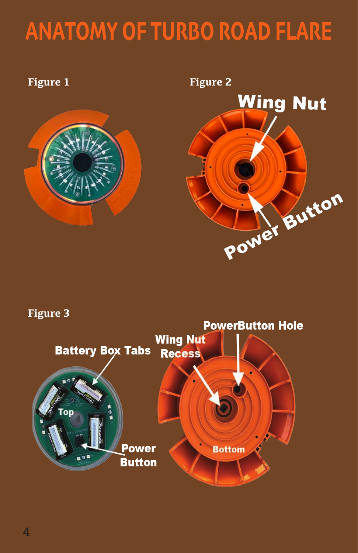## ANATOMY OF TURBO ROAD FLARE





#### **Figure 3**

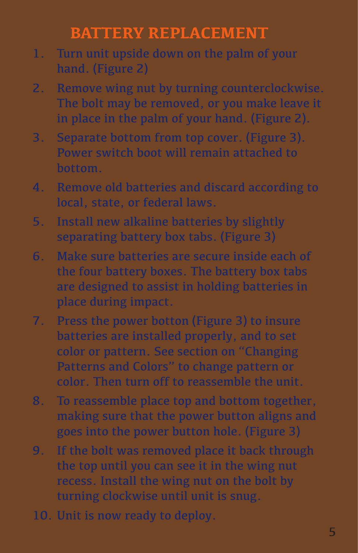#### **BATTERY REPLACEMENT**

- 1. Turn unit upside down on the palm of your hand. (Figure 2)
- 2. Remove wing nut by turning counterclockwise. The bolt may be removed, or you make leave it in place in the palm of your hand. (Figure 2).
- 3. Separate bottom from top cover. (Figure 3). Power switch boot will remain attached to bottom.
- 4. Remove old batteries and discard according to local, state, or federal laws.
- 5. Install new alkaline batteries by slightly separating battery box tabs. (Figure 3)
- 6. Make sure batteries are secure inside each of the four battery boxes. The battery box tabs are designed to assist in holding batteries in place during impact.
- 7. Press the power botton (Figure 3) to insure batteries are installed properly, and to set color or pattern. See section on "Changing Patterns and Colors" to change pattern or color. Then turn off to reassemble the unit.
- 8. To reassemble place top and bottom together, making sure that the power button aligns and goes into the power button hole. (Figure 3)
- 9. If the bolt was removed place it back through the top until you can see it in the wing nut recess. Install the wing nut on the bolt by turning clockwise until unit is snug.
- 10. Unit is now ready to deploy.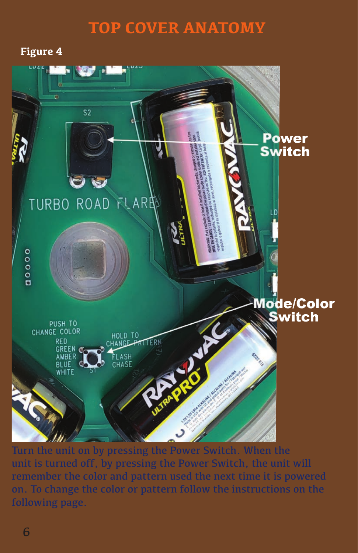#### **TOP COVER ANATOMY**

#### **Figure 4**



Turn the unit on by pressing the Power Switch. When the unit is turned off, by pressing the Power Switch, the unit will remember the color and pattern used the next time it is powered on. To change the color or pattern follow the instructions on the following page.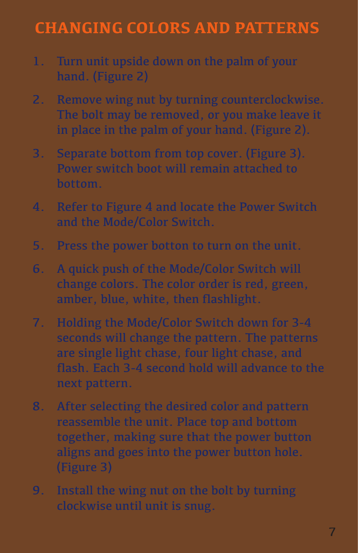#### **CHANGING COLORS AND PATTERNS**

- 1. Turn unit upside down on the palm of your hand. (Figure 2)
- 2. Remove wing nut by turning counterclockwise. The bolt may be removed, or you make leave it in place in the palm of your hand. (Figure 2).
- 3. Separate bottom from top cover. (Figure 3). Power switch boot will remain attached to bottom.
- 4. Refer to Figure 4 and locate the Power Switch and the Mode/Color Switch.
- 5. Press the power botton to turn on the unit.
- 6. A quick push of the Mode/Color Switch will change colors. The color order is red, green, amber, blue, white, then flashlight.
- 7. Holding the Mode/Color Switch down for 3-4 seconds will change the pattern. The patterns are single light chase, four light chase, and flash. Each 3-4 second hold will advance to the next pattern.
- 8. After selecting the desired color and pattern reassemble the unit. Place top and bottom together, making sure that the power button aligns and goes into the power button hole. (Figure 3)
- 9. Install the wing nut on the bolt by turning clockwise until unit is snug.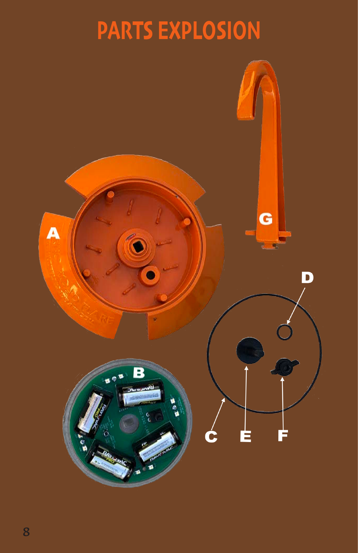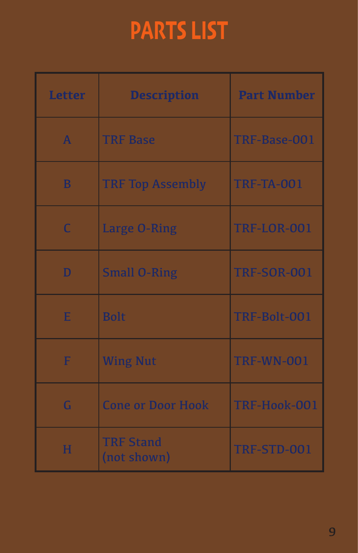# PARTS LIST

| <b>Letter</b> | <b>Description</b>              | <b>Part Number</b> |
|---------------|---------------------------------|--------------------|
| $\mathbf{A}$  | <b>TRF Base</b>                 | TRF-Base-001       |
| B             | <b>TRF Top Assembly</b>         | <b>TRF-TA-001</b>  |
| $\mathsf{C}$  | Large O-Ring                    | <b>TRF-LOR-001</b> |
| D             | <b>Small O-Ring</b>             | <b>TRF-SOR-001</b> |
| E             | <b>Bolt</b>                     | TRF-Bolt-001       |
| F             | <b>Wing Nut</b>                 | <b>TRF-WN-001</b>  |
| G             | <b>Cone or Door Hook</b>        | TRF-Hook-001       |
| н             | <b>TRF Stand</b><br>(not shown) | TRF-STD-001        |